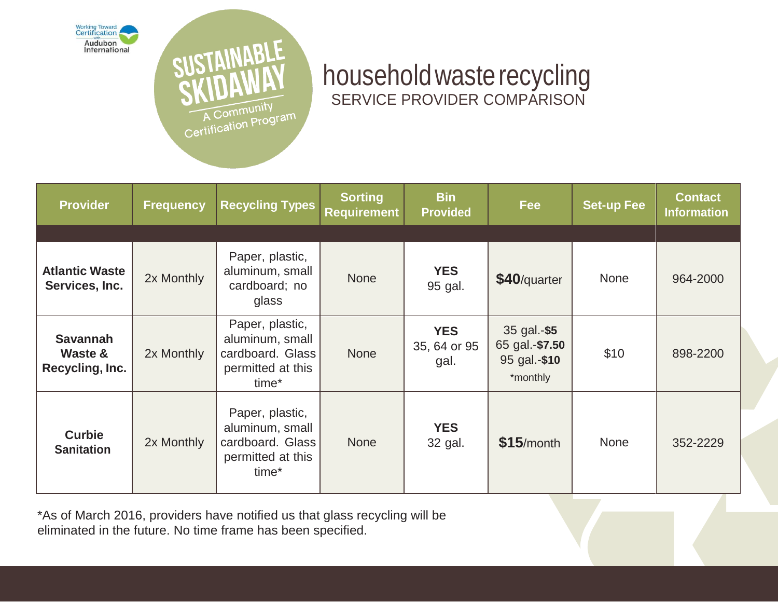



# householdwasterecycling SERVICE PROVIDER COMPARISON

| <b>Provider</b>                               | <b>Frequency</b> | <b>Recycling Types</b>                                                                           | <b>Sorting</b><br><b>Requirement</b> | <b>Bin</b><br><b>Provided</b>      | <b>Fee</b>                                                | <b>Set-up Fee</b> | <b>Contact</b><br><b>Information</b> |
|-----------------------------------------------|------------------|--------------------------------------------------------------------------------------------------|--------------------------------------|------------------------------------|-----------------------------------------------------------|-------------------|--------------------------------------|
|                                               |                  |                                                                                                  |                                      |                                    |                                                           |                   |                                      |
| <b>Atlantic Waste</b><br>Services, Inc.       | 2x Monthly       | Paper, plastic,<br>aluminum, small<br>cardboard; no<br>glass                                     | <b>None</b>                          | <b>YES</b><br>95 gal.              | \$40/quarter                                              | <b>None</b>       | 964-2000                             |
| <b>Savannah</b><br>Waste &<br>Recycling, Inc. | 2x Monthly       | Paper, plastic,<br>aluminum, small<br>cardboard. Glass<br>permitted at this<br>time <sup>*</sup> | <b>None</b>                          | <b>YES</b><br>35, 64 or 95<br>gal. | 35 gal.-\$5<br>65 gal.-\$7.50<br>95 gal.-\$10<br>*monthly | \$10              | 898-2200                             |
| <b>Curbie</b><br><b>Sanitation</b>            | 2x Monthly       | Paper, plastic,<br>aluminum, small<br>cardboard. Glass<br>permitted at this<br>time*             | <b>None</b>                          | <b>YES</b><br>32 gal.              | $$15/m$ onth                                              | <b>None</b>       | 352-2229                             |

\*As of March 2016, providers have notified us that glass recycling will be eliminated in the future. No time frame has been specified.